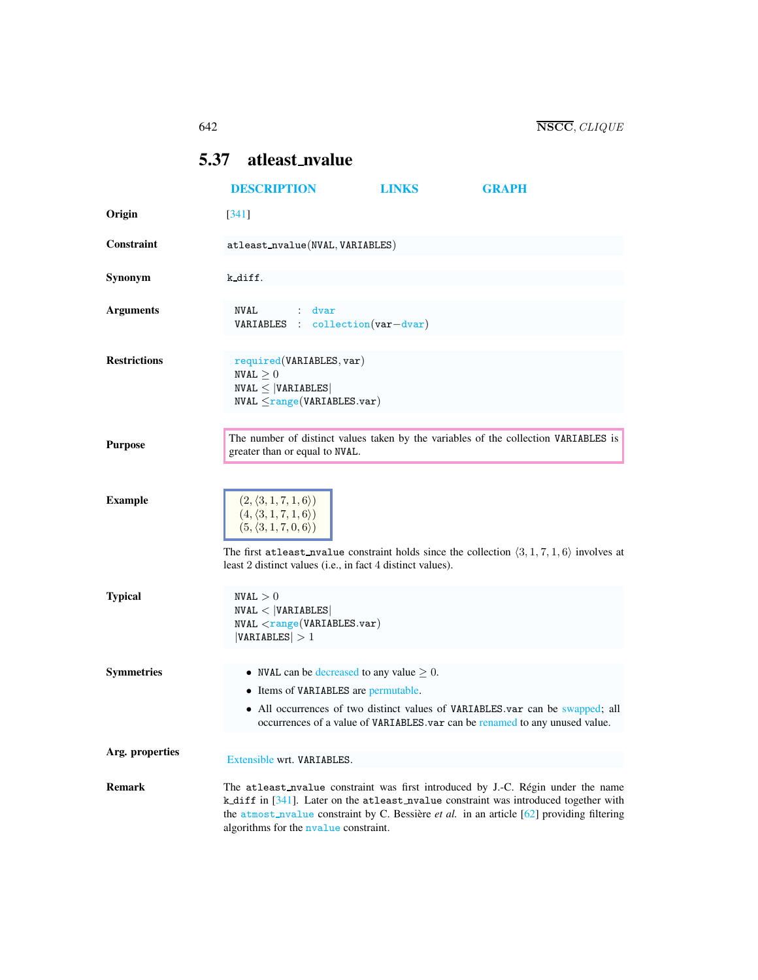# <span id="page-0-0"></span>5.37 atleast nvalue

|                     | <b>DESCRIPTION</b>                                                                                                                                                                                                                                                                                             | <b>LINKS</b> | <b>GRAPH</b>                                                                                                                                                 |  |
|---------------------|----------------------------------------------------------------------------------------------------------------------------------------------------------------------------------------------------------------------------------------------------------------------------------------------------------------|--------------|--------------------------------------------------------------------------------------------------------------------------------------------------------------|--|
| Origin              | $[341]$                                                                                                                                                                                                                                                                                                        |              |                                                                                                                                                              |  |
| Constraint          | atleast_nvalue(NVAL, VARIABLES)                                                                                                                                                                                                                                                                                |              |                                                                                                                                                              |  |
| Synonym             | k_diff.                                                                                                                                                                                                                                                                                                        |              |                                                                                                                                                              |  |
| <b>Arguments</b>    | NVAL<br>dvar<br>VARIABLES : collection (var-dvar)                                                                                                                                                                                                                                                              |              |                                                                                                                                                              |  |
| <b>Restrictions</b> | required(VARIABLES, var)<br>$\texttt{NVAL} \geq 0$<br>$NVAL \leq  VARIABLES $<br>$NVAL \leq range(VARIABLES.var)$                                                                                                                                                                                              |              |                                                                                                                                                              |  |
| <b>Purpose</b>      | greater than or equal to NVAL.                                                                                                                                                                                                                                                                                 |              | The number of distinct values taken by the variables of the collection VARIABLES is                                                                          |  |
| <b>Example</b>      | $(2,\langle 3,1,7,1,6\rangle)$<br>$(4, \langle 3, 1, 7, 1, 6 \rangle)$<br>$(5, \langle 3, 1, 7, 0, 6 \rangle)$<br>The first at least nualue constraint holds since the collection $(3, 1, 7, 1, 6)$ involves at<br>least 2 distinct values (i.e., in fact 4 distinct values).                                  |              |                                                                                                                                                              |  |
| <b>Typical</b>      | NVAL > 0<br>NVAL <  VARIABLES <br>$NVAL \leq range(VARIABLES.var)$<br> VARIABLES  > 1                                                                                                                                                                                                                          |              |                                                                                                                                                              |  |
| <b>Symmetries</b>   | • NVAL can be decreased to any value $\geq 0$ .<br>• Items of VARIABLES are permutable.                                                                                                                                                                                                                        |              | • All occurrences of two distinct values of VARIABLES var can be swapped; all<br>occurrences of a value of VARIABLES.var can be renamed to any unused value. |  |
| Arg. properties     | Extensible wrt. VARIABLES.                                                                                                                                                                                                                                                                                     |              |                                                                                                                                                              |  |
| <b>Remark</b>       | The atleast nvalue constraint was first introduced by J.-C. Régin under the name<br>k_diff in [341]. Later on the atleast_nvalue constraint was introduced together with<br>the atmost_nvalue constraint by C. Bessière et al. in an article [62] providing filtering<br>algorithms for the nyalue constraint. |              |                                                                                                                                                              |  |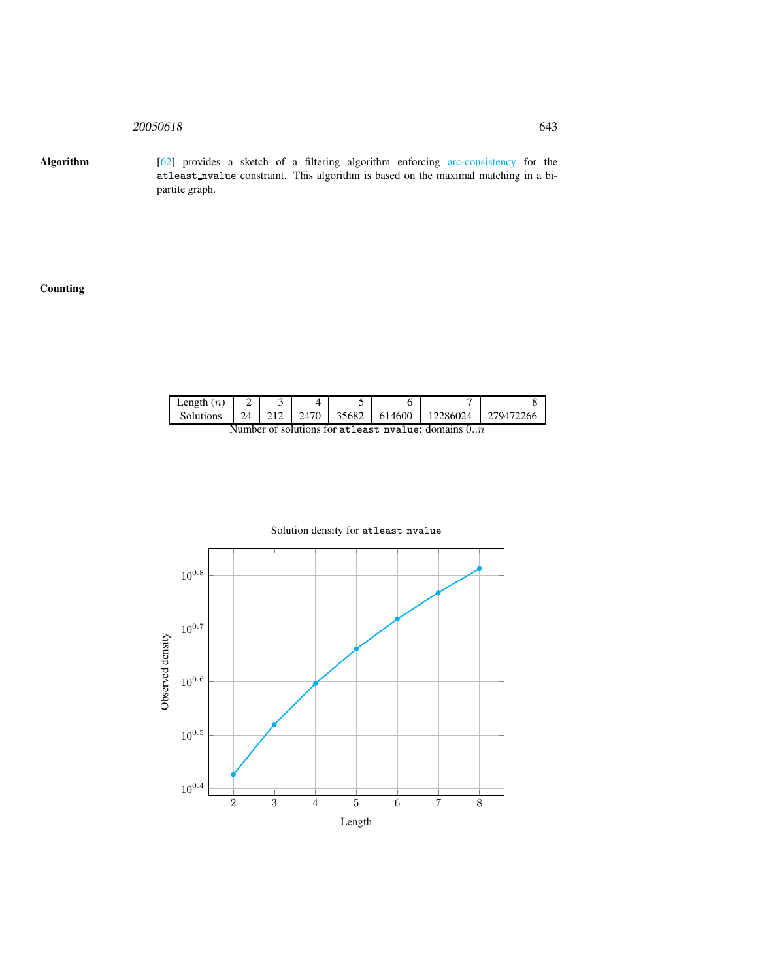## 20050618 643

Algorithm [62] provides a sketch of a filtering algorithm enforcing arc-consistency for the atleast nvalue constraint. This algorithm is based on the maximal matching in a bipartite graph.

## **Counting**

| Length<br>(n)       | -  |  |            |       |        |         |              |
|---------------------|----|--|------------|-------|--------|---------|--------------|
| solutions           | 24 |  | 470<br>ΙД. | 35682 | 614600 | `286024 | -266<br>7947 |
| $\blacksquare$<br>. |    |  |            |       |        |         |              |

Number of solutions for atleast\_nvalue: domains  $0..n$ 



## Solution density for atleast\_nvalue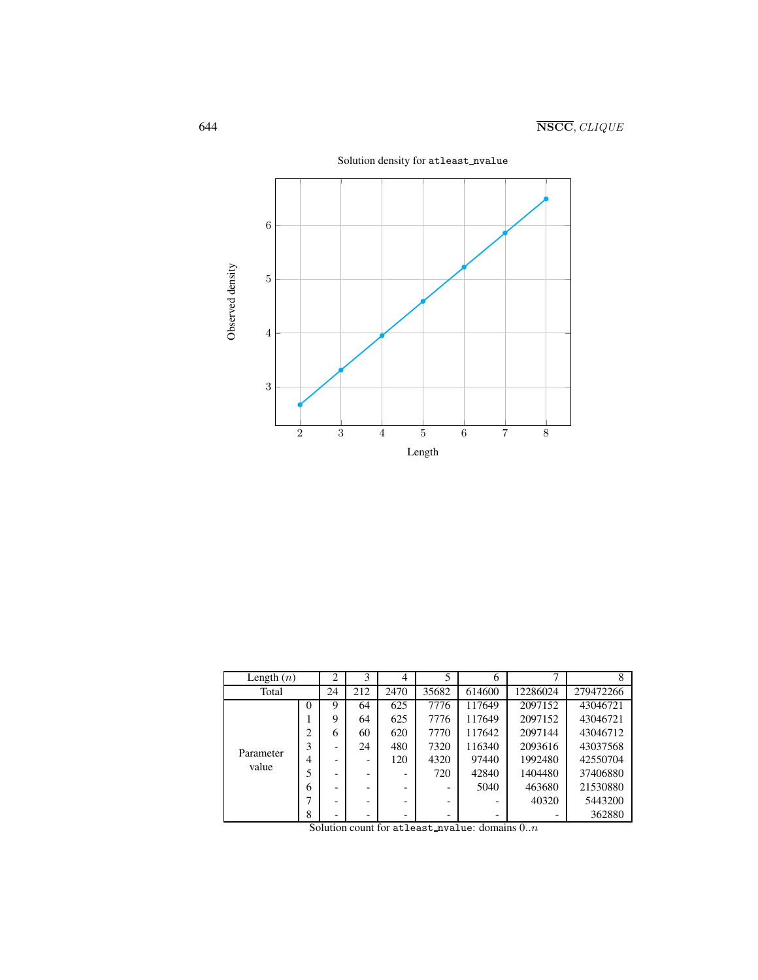

Solution density for atleast nvalue

| Length $(n)$       |                    | 2  | 3   | 4      |       | 6      |          |           |
|--------------------|--------------------|----|-----|--------|-------|--------|----------|-----------|
| Total              |                    | 24 | 212 | 2470   | 35682 | 614600 | 12286024 | 279472266 |
| Parameter<br>value | 0                  | 9  | 64  | 625    | 7776  | 117649 | 2097152  | 43046721  |
|                    |                    | 9  | 64  | 625    | 7776  | 117649 | 2097152  | 43046721  |
|                    | $\overline{c}$     | 6  | 60  | 620    | 7770  | 117642 | 2097144  | 43046712  |
|                    | 3                  |    | 24  | 480    | 7320  | 116340 | 2093616  | 43037568  |
|                    | 4                  |    |     | 120    | 4320  | 97440  | 1992480  | 42550704  |
|                    | 5                  |    |     |        | 720   | 42840  | 1404480  | 37406880  |
|                    | 6                  |    |     |        |       | 5040   | 463680   | 21530880  |
|                    | −                  |    |     |        | -     |        | 40320    | 5443200   |
|                    | 8<br>$\sim$ $\sim$ |    |     | $\sim$ | -     | $\sim$ | $\sim$   | 362880    |

Solution count for atleast nvalue: domains  $0..n$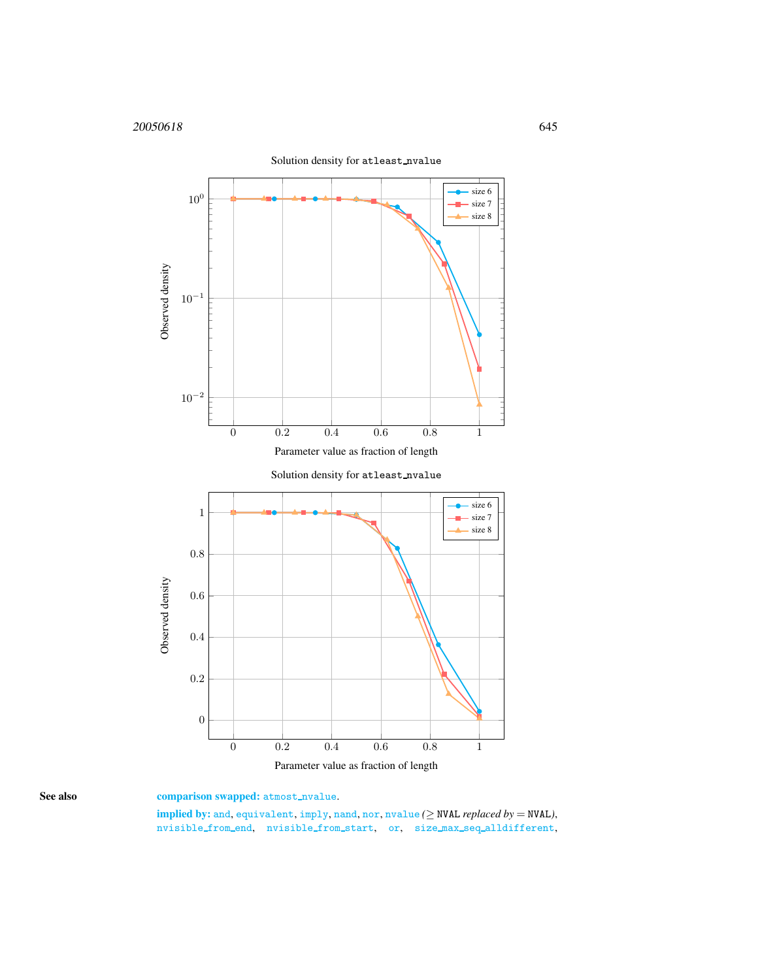

<span id="page-3-0"></span>

implied by: and, equivalent, imply, nand, nor, nvalue  $(\geq$  NVAL *replaced by* = NVAL), nvisible\_from\_end, nvisible\_from\_start, or, size\_max\_seq\_alldifferent,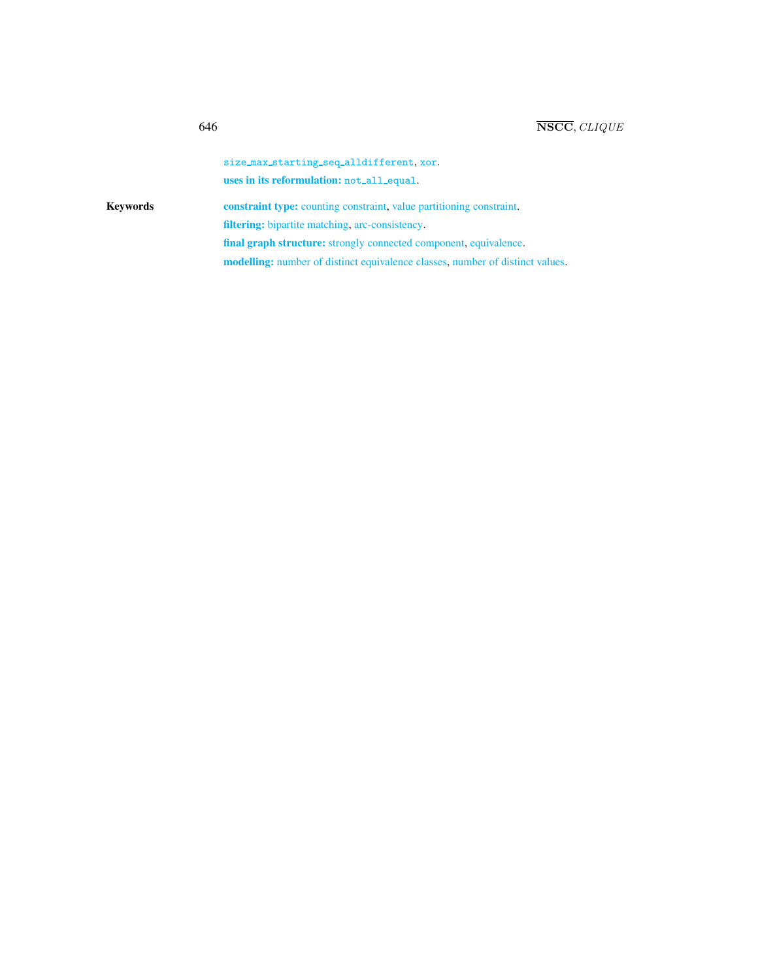|          | size_max_starting_seq_alldifferent.xor.                                              |
|----------|--------------------------------------------------------------------------------------|
|          | uses in its reformulation: not_all_equal.                                            |
| Kevwords | <b>constraint type:</b> counting constraint, value partitioning constraint.          |
|          | <b>filtering:</b> bipartite matching, arc-consistency.                               |
|          | final graph structure: strongly connected component, equivalence.                    |
|          | <b>modelling:</b> number of distinct equivalence classes, number of distinct values. |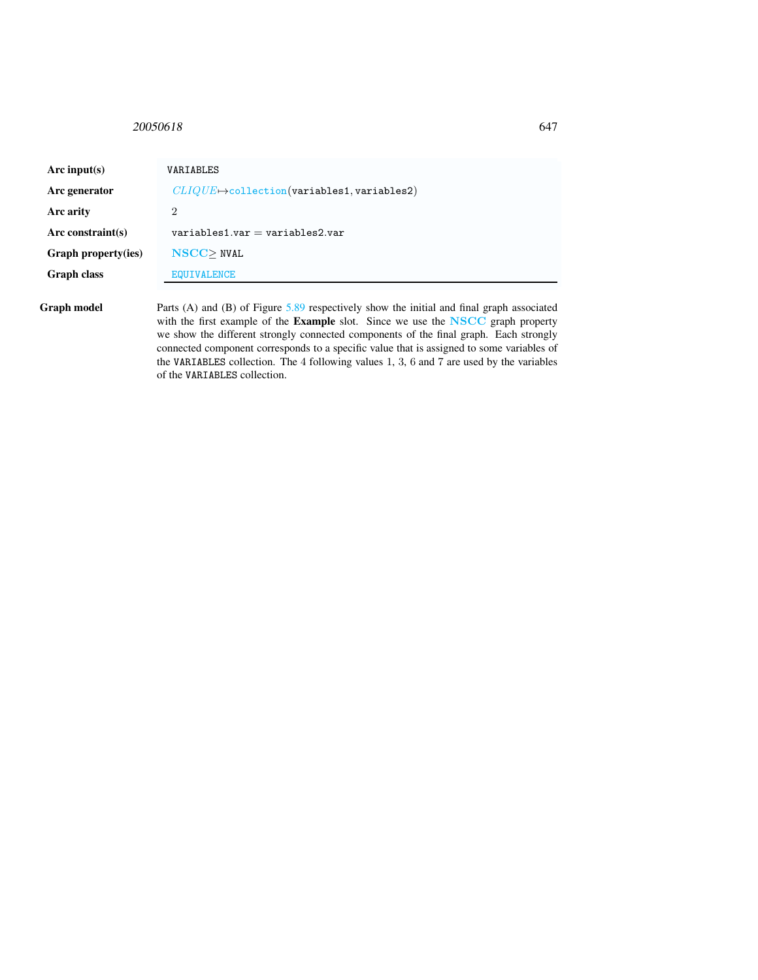## <span id="page-5-0"></span>20050618 647

| Arc input(s)         | VARIABLES                                                                                                                                                                                     |
|----------------------|-----------------------------------------------------------------------------------------------------------------------------------------------------------------------------------------------|
| Arc generator        | $CLIQUE \rightarrow$ collection(variables1, variables2)                                                                                                                                       |
| Arc arity            | 2                                                                                                                                                                                             |
| Arc constraint $(s)$ | $variable$ s1.var = variables2.var                                                                                                                                                            |
| Graph property(ies)  | $NSCC$ NVAL                                                                                                                                                                                   |
| <b>Graph class</b>   | <b>EQUIVALENCE</b>                                                                                                                                                                            |
| Graph model          | Parts (A) and (B) of Figure $5.89$ respectively show the initial and final graph associated<br>with the first example of the <b>Example</b> slot. Since we use the <b>NSCC</b> graph property |

with the first example of the Example slot. Since we use the NSCC graph property we show the different strongly connected components of the final graph. Each strongly connected component corresponds to a specific value that is assigned to some variables of the VARIABLES collection. The 4 following values 1, 3, 6 and 7 are used by the variables of the VARIABLES collection.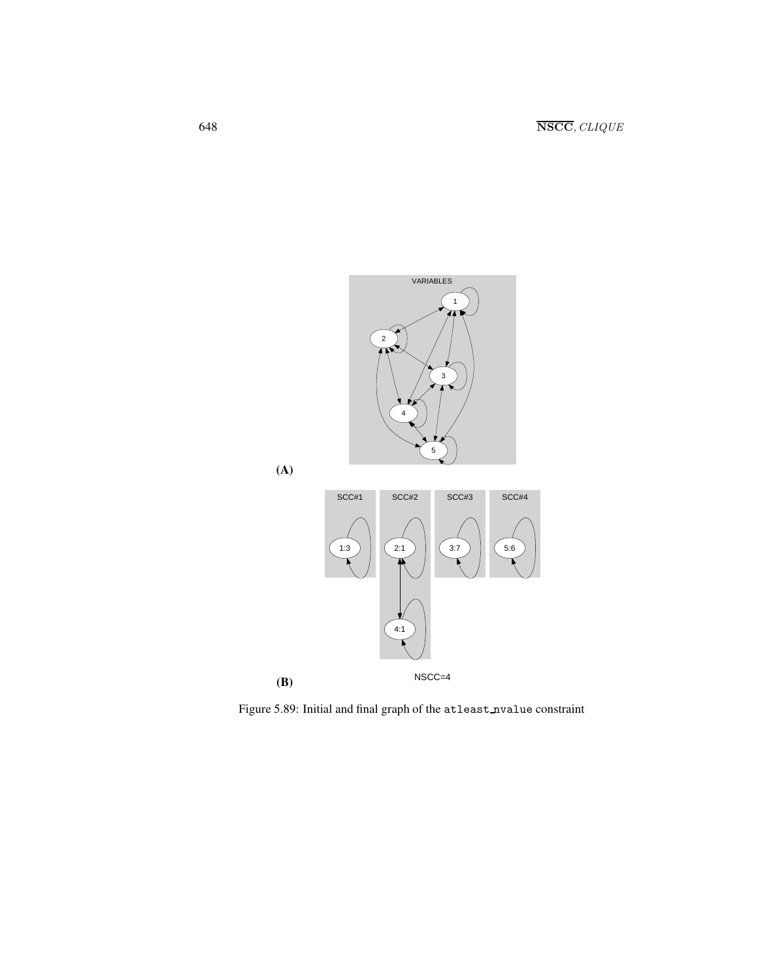

<span id="page-6-0"></span>Figure 5.89: Initial and final graph of the atleast nvalue constraint